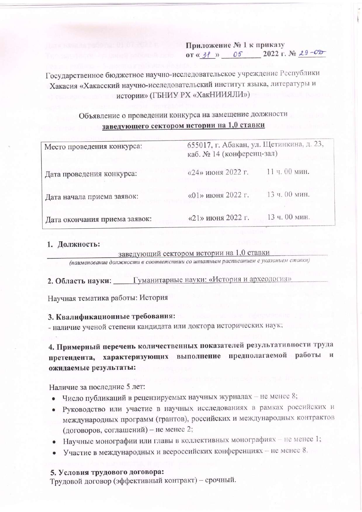Приложение № 1 к приказу or «  $31$  » 05 2022 г. № 29-02

Государственное бюджетное научно-исследовательское учреждение Республики Хакасия «Хакасский научно-исследовательский институт языка, литературы и истории» (ГБНИУ РХ «ХакНИИЯЛИ»)

## Объявление о проведении конкурса на замещение должности заведующего сектором истории на 1,0 ставки

| Место проведения конкурса:    | 655017, г. Абакан, ул. Щетинкина, д. 23,<br>каб. № 14 (конференц-зал) |               |
|-------------------------------|-----------------------------------------------------------------------|---------------|
| Дата проведения конкурса:     | «24» июня 2022 г.                                                     | 11 ч. 00 мин. |
| Дата начала приема заявок:    | «01» июня 2022 г.                                                     | 13 ч. 00 мин. |
| Дата окончания приема заявок: | «21» июня 2022 г.                                                     | 13 ч. 00 мин. |

#### 1. Должность:

заведующий сектором истории на 1,0 ставки

(наименование должности в соответствии со штатным расписанием с указанием ставки)

Гуманитарные науки: «История и археология» 2. Область науки:

Научная тематика работы: История

#### 3. Квалификационные требования:

- наличие ученой степени кандидата или доктора исторических наук;

# 4. Примерный перечень количественных показателей результативности труда претендента, характеризующих выполнение предполагаемой работы и ожидаемые результаты:

Наличие за последние 5 лет:

- Число публикаций в рецензируемых научных журналах не менее 8;
- Руководство или участие в научных исследованиях в рамках российских и международных программ (грантов), российских и международных контрактов (договоров, соглашений) – не менее 2;
- Научные монографии или главы в коллективных монографиях не менее 1;
- Участие в международных и всероссийских конференциях не менее 8.

#### 5. Условия трудового договора:

Трудовой договор (эффективный контракт) - срочный.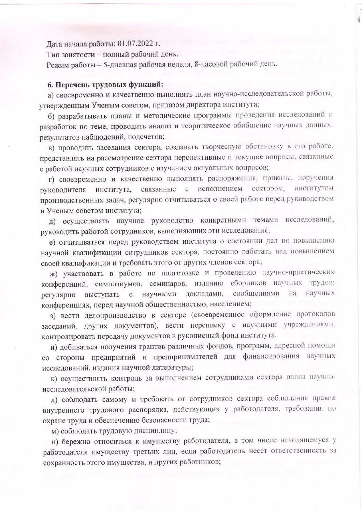Дата начала работы: 01.07.2022 г.

Тип занятости - полный рабочий день.

Режим работы - 5-дневная рабочая неделя, 8-часовой рабочий день.

#### 6. Перечень трудовых функций:

а) своевременно и качественно выполнять план научно-исследовательской работы, утвержденным Ученым советом, приказом директора института;

б) разрабатывать планы и методические программы проведения исследований и разработок по теме, проводить анализ и теоритическое обобщение научных данных, результатов наблюдений, подсчетов;

в) проводить заседания сектора, создавать творческую обстановку в его работе, представлять на рассмотрение сектора перспективные и текущие вопросы, связанные с работой научных сотрудников с изучением актуальных вопросов;

г) своевременно и качественно выполнять распоряжения, приказы, поручения исполнением институтом сектором. института, связанные  $\mathbf{C}$ руководителя производственных задач, регулярно отчитываться о своей работе перед руководством и Ученым советом института;

д) осуществлять научное руководство конкретными темами исследований, руководить работой сотрудников, выполняющих эти исследования;

е) отчитываться перед руководством института о состоянии дел по повышению научной квалификации сотрудников сектора, постоянно работать над повышением своей квалификации и требовать этого от других членов сектора;

ж) участвовать в работе по подготовке и проведению научно-практических конференций, симпозиумов, семинаров, изданию сборников научных трудов; сообщениями на научных выступать с научными докладами, регулярно конференциях, перед научной общественностью, населением;

з) вести делопроизводство в секторе (своевременное оформление протоколов заседаний, других документов), вести переписку с научными учреждениями, контролировать передачу документов в рукописный фонд института.

и) добиваться получения грантов различных фондов, программ, адресной помощи со стороны предприятий и предпринимателей для финансирования научных исследований, издания научной литературы;

к) осуществлять контроль за выполнением сотрудниками сектора плана научноисследовательской работы;

л) соблюдать самому и требовать от сотрудников сектора соблюдения правил внутреннего трудового распорядка, действующих у работодателя, требования по охране труда и обеспечению безопасности труда;

м) соблюдать трудовую дисциплину;

н) бережно относиться к имуществу работодателя, в том числе находящемуся у работодателя имуществу третьих лиц, если работодатель несет ответственность за сохранность этого имущества, и других работников;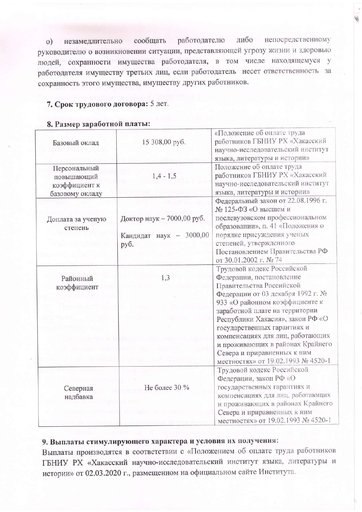либо непосредственному незамедлительно сообщать работодателю  $\circ$ ) руководителю о возникновении ситуации, представляющей угрозу жизни и здоровью людей, сохранности имущества работодателя, в том числе находящемуся у работодателя имуществу третьих лиц, если работодатель несет ответственность за сохранность этого имущества, имуществу других работников.

## 7. Срок трудового договора: 5 лет.

### 8. Размер заработной платы:

| Базовый оклад                                                  | 15 308,00 руб.                                                | «Положение об оплате труда<br>работников ГБНИУ РХ «Хакасский<br>научно-исследовательский институт<br>языка, литературы и истории»                                                                                                                                                                                                                                                                           |
|----------------------------------------------------------------|---------------------------------------------------------------|-------------------------------------------------------------------------------------------------------------------------------------------------------------------------------------------------------------------------------------------------------------------------------------------------------------------------------------------------------------------------------------------------------------|
| Персональный<br>повышающий<br>коэффициент к<br>базовому окладу | $1,4 - 1,5$                                                   | Положение об оплате труда<br>работников ГБНИУ РХ «Хакасский<br>научно-исследовательский институт<br>языка, литературы и истории»                                                                                                                                                                                                                                                                            |
| Доплата за ученую<br>степень                                   | Доктор наук - 7000,00 руб.<br>Кандидат наук - 3000,00<br>руб. | Федеральный закон от 22.08.1996 г.<br>№ 125-ФЗ «О высшем и<br>послевузовском профессиональном<br>образовании», п. 41 «Положения о<br>порядке присуждения ученых<br>степеней, утвержденного<br>Постановлением Правительства РФ<br>от 30.01.2002 г. № 74                                                                                                                                                      |
| Районный<br>коэффициент                                        | 1,3                                                           | Трудовой кодекс Российской<br>Федерации, постановление<br>Правительства Российской<br>Федерации от 03 декабря 1992 г. №<br>933 «О районном коэффициенте к<br>заработной плате на территории<br>Республики Хакасия», закон РФ «О<br>государственных гарантиях и<br>компенсациях для лиц, работающих<br>и проживающих в районах Крайнего<br>Севера и приравненных к ним<br>местностях» от 19.02.1993 № 4520-1 |
| Северная<br>надбавка                                           | Не более 30 %                                                 | Трудовой кодекс Российской<br>Федерации, закон РФ «О<br>государственных гарантиях и<br>компенсациях для лиц, работающих<br>и проживающих в районах Крайнего<br>Севера и приравненных к ним<br>местностях» от 19.02.1993 № 4520-1                                                                                                                                                                            |

### 9. Выплаты стимулирующего характера и условия их получения:

Выплаты производятся в соответствии с «Положением об оплате труда работников ГБНИУ РХ «Хакасский научно-исследовательский институт языка, литературы и истории» от 02.03.2020 г., размещенном на официальном сайте Института.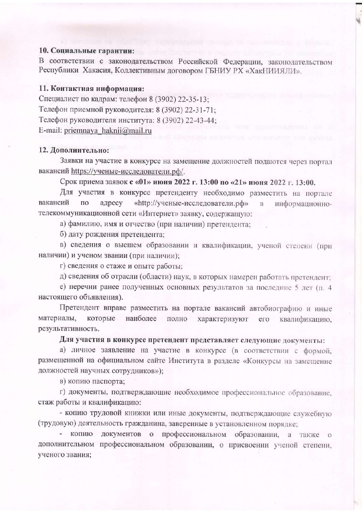#### 10. Социальные гарантии:

В соответствии с законодательством Российской Федерации, законодательством Республики Хакасия, Коллективным договором ГБНИУ РХ «ХакНИИЯЛИ».

#### 11. Контактная информация:

Специалист по кадрам: телефон 8 (3902) 22-35-13; Телефон приемной руководителя: 8 (3902) 22-31-71; Телефон руководителя института: 8 (3902) 22-43-44; E-mail: priemnaya haknii@mail.ru

#### 12. Дополнительно:

Заявки на участие в конкурсе на замещение должностей подаются через портал вакансий https://ученые-исследователи.pф/.

Срок приема заявок с «01» июня 2022 г. 13:00 по «21» июня 2022 г. 13:00.

Для участия в конкурсе претенденту необходимо разместить на портале «http://ученые-исследователи.pф» вакансий ПО адресу  $\overline{B}$ информационнотелекоммуникационной сети «Интернет» заявку, содержащую:

а) фамилию, имя и отчество (при наличии) претендента:

б) дату рождения претендента;

в) сведения о высшем образовании и квалификации, ученой степени (при наличии) и ученом звании (при наличии);

г) сведения о стаже и опыте работы:

д) сведения об отрасли (области) наук, в которых намерен работать претендент;

е) перечни ранее полученных основных результатов за последние 5 лет (п. 4 настоящего объявления).

Претендент вправе разместить на портале вакансий автобиографию и иные материалы, которые наиболее полно характеризуют квалификацию. его результативность.

### Для участия в конкурсе претендент представляет следующие документы:

а) личное заявление на участие в конкурсе (в соответствии с формой, размещенной на официальном сайте Института в разделе «Конкурсы на замещение должностей научных сотрудников»);

в) копию паспорта;

г) документы, подтверждающие необходимое профессиональное образование, стаж работы и квалификацию:

- копию трудовой книжки или иные документы, подтверждающие служебную (трудовую) деятельность гражданина, заверенные в установленном порядке;

документов о профессиональном образовании, а также о копию дополнительном профессиональном образовании, о присвоении ученой степени, ученого звания;